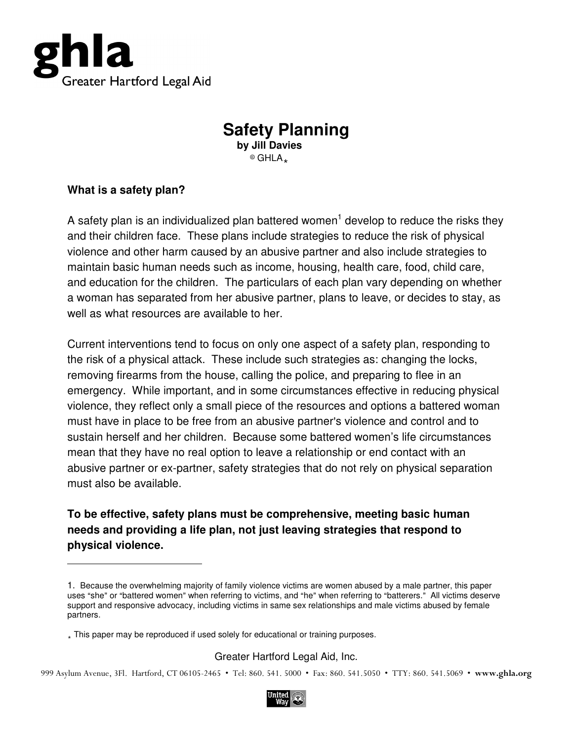

# **Safety Planning**

**by Jill Davies**   $<sup>®</sup>$  GHLA.</sup>

#### **What is a safety plan?**

 $\overline{a}$ 

A safety plan is an individualized plan battered women<sup>1</sup> develop to reduce the risks they and their children face. These plans include strategies to reduce the risk of physical violence and other harm caused by an abusive partner and also include strategies to maintain basic human needs such as income, housing, health care, food, child care, and education for the children. The particulars of each plan vary depending on whether a woman has separated from her abusive partner, plans to leave, or decides to stay, as well as what resources are available to her.

Current interventions tend to focus on only one aspect of a safety plan, responding to the risk of a physical attack. These include such strategies as: changing the locks, removing firearms from the house, calling the police, and preparing to flee in an emergency. While important, and in some circumstances effective in reducing physical violence, they reflect only a small piece of the resources and options a battered woman must have in place to be free from an abusive partner's violence and control and to sustain herself and her children. Because some battered women's life circumstances mean that they have no real option to leave a relationship or end contact with an abusive partner or ex-partner, safety strategies that do not rely on physical separation must also be available.

### **To be effective, safety plans must be comprehensive, meeting basic human needs and providing a life plan, not just leaving strategies that respond to physical violence.**

#### Greater Hartford Legal Aid, Inc.

999 Asylum Avenue, 3Fl. Hartford, CT 06105-2465 • Tel: 860. 541. 5000 • Fax: 860. 541.5050 • TTY: 860. 541.5069 • www.ghla.org



<sup>1.</sup> Because the overwhelming majority of family violence victims are women abused by a male partner, this paper uses "she" or "battered women" when referring to victims, and "he" when referring to "batterers." All victims deserve support and responsive advocacy, including victims in same sex relationships and male victims abused by female partners.

<sup>.</sup> This paper may be reproduced if used solely for educational or training purposes.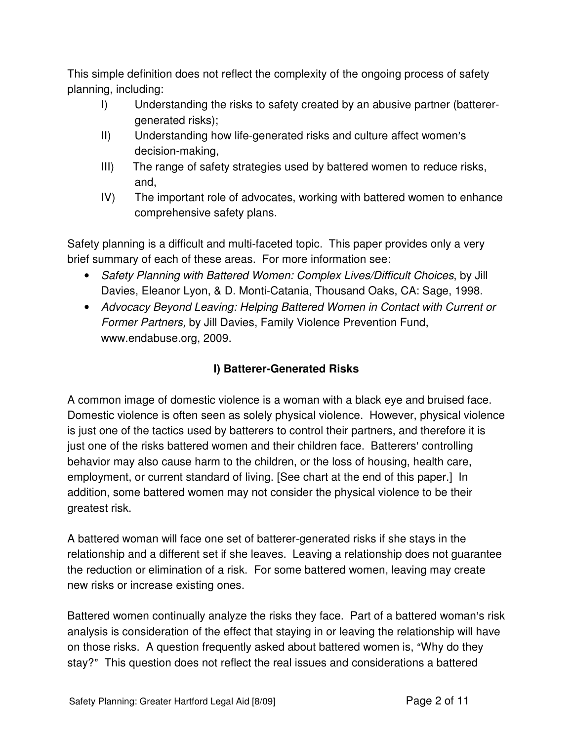This simple definition does not reflect the complexity of the ongoing process of safety planning, including:

- I) Understanding the risks to safety created by an abusive partner (batterergenerated risks);
- II) Understanding how life-generated risks and culture affect women's decision-making,
- III) The range of safety strategies used by battered women to reduce risks, and,
- IV) The important role of advocates, working with battered women to enhance comprehensive safety plans.

Safety planning is a difficult and multi-faceted topic. This paper provides only a very brief summary of each of these areas. For more information see:

- Safety Planning with Battered Women: Complex Lives/Difficult Choices, by Jill Davies, Eleanor Lyon, & D. Monti-Catania, Thousand Oaks, CA: Sage, 1998.
- Advocacy Beyond Leaving: Helping Battered Women in Contact with Current or Former Partners, by Jill Davies, Family Violence Prevention Fund, www.endabuse.org, 2009.

# **I) Batterer-Generated Risks**

A common image of domestic violence is a woman with a black eye and bruised face. Domestic violence is often seen as solely physical violence. However, physical violence is just one of the tactics used by batterers to control their partners, and therefore it is just one of the risks battered women and their children face. Batterers' controlling behavior may also cause harm to the children, or the loss of housing, health care, employment, or current standard of living. [See chart at the end of this paper.] In addition, some battered women may not consider the physical violence to be their greatest risk.

A battered woman will face one set of batterer-generated risks if she stays in the relationship and a different set if she leaves. Leaving a relationship does not guarantee the reduction or elimination of a risk. For some battered women, leaving may create new risks or increase existing ones.

Battered women continually analyze the risks they face. Part of a battered woman's risk analysis is consideration of the effect that staying in or leaving the relationship will have on those risks. A question frequently asked about battered women is, "Why do they stay?" This question does not reflect the real issues and considerations a battered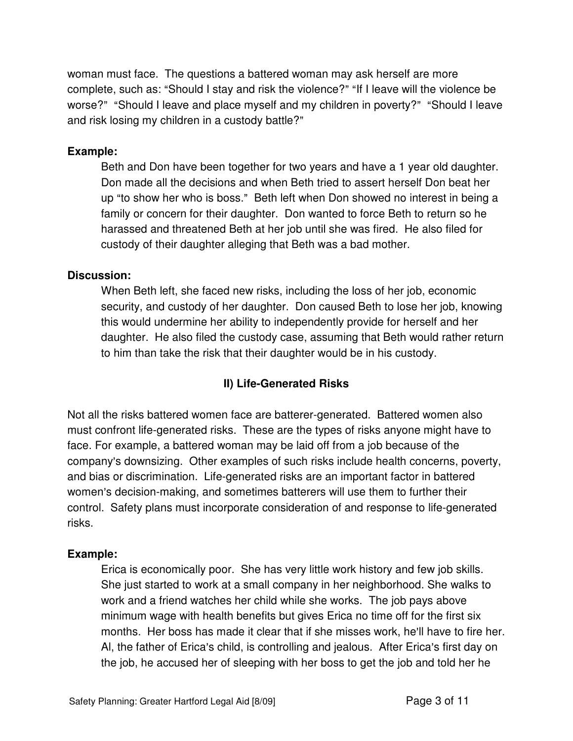woman must face. The questions a battered woman may ask herself are more complete, such as: "Should I stay and risk the violence?" "If I leave will the violence be worse?" "Should I leave and place myself and my children in poverty?" "Should I leave and risk losing my children in a custody battle?"

#### **Example:**

Beth and Don have been together for two years and have a 1 year old daughter. Don made all the decisions and when Beth tried to assert herself Don beat her up "to show her who is boss." Beth left when Don showed no interest in being a family or concern for their daughter. Don wanted to force Beth to return so he harassed and threatened Beth at her job until she was fired. He also filed for custody of their daughter alleging that Beth was a bad mother.

#### **Discussion:**

When Beth left, she faced new risks, including the loss of her job, economic security, and custody of her daughter. Don caused Beth to lose her job, knowing this would undermine her ability to independently provide for herself and her daughter. He also filed the custody case, assuming that Beth would rather return to him than take the risk that their daughter would be in his custody.

#### **II) Life-Generated Risks**

Not all the risks battered women face are batterer-generated. Battered women also must confront life-generated risks. These are the types of risks anyone might have to face. For example, a battered woman may be laid off from a job because of the company's downsizing. Other examples of such risks include health concerns, poverty, and bias or discrimination. Life-generated risks are an important factor in battered women's decision-making, and sometimes batterers will use them to further their control. Safety plans must incorporate consideration of and response to life-generated risks.

#### **Example:**

Erica is economically poor. She has very little work history and few job skills. She just started to work at a small company in her neighborhood. She walks to work and a friend watches her child while she works. The job pays above minimum wage with health benefits but gives Erica no time off for the first six months. Her boss has made it clear that if she misses work, he'll have to fire her. AI, the father of Erica's child, is controlling and jealous. After Erica's first day on the job, he accused her of sleeping with her boss to get the job and told her he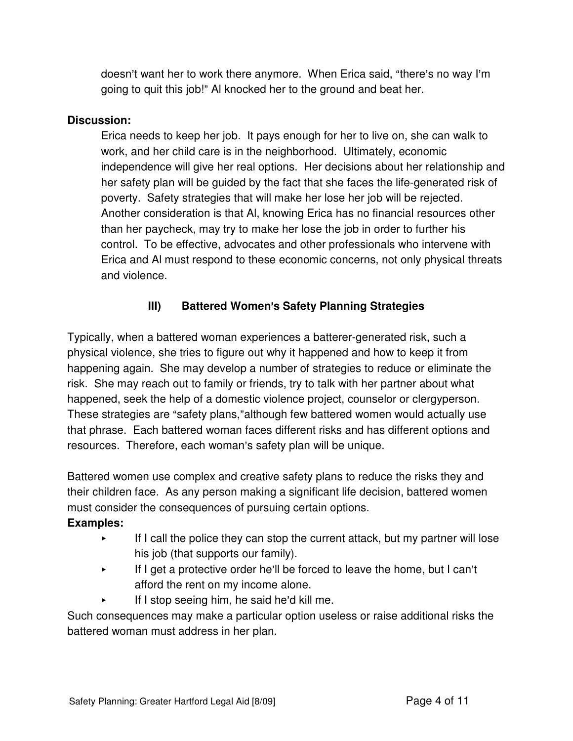doesn't want her to work there anymore. When Erica said, "there's no way I'm going to quit this job!" Al knocked her to the ground and beat her.

#### **Discussion:**

Erica needs to keep her job. It pays enough for her to live on, she can walk to work, and her child care is in the neighborhood. Ultimately, economic independence will give her real options. Her decisions about her relationship and her safety plan will be guided by the fact that she faces the life-generated risk of poverty. Safety strategies that will make her lose her job will be rejected. Another consideration is that Al, knowing Erica has no financial resources other than her paycheck, may try to make her lose the job in order to further his control. To be effective, advocates and other professionals who intervene with Erica and Al must respond to these economic concerns, not only physical threats and violence.

### **III)** Battered Women's Safety Planning Strategies

Typically, when a battered woman experiences a batterer-generated risk, such a physical violence, she tries to figure out why it happened and how to keep it from happening again. She may develop a number of strategies to reduce or eliminate the risk. She may reach out to family or friends, try to talk with her partner about what happened, seek the help of a domestic violence project, counselor or clergyperson. These strategies are "safety plans,"although few battered women would actually use that phrase. Each battered woman faces different risks and has different options and resources. Therefore, each woman's safety plan will be unique.

Battered women use complex and creative safety plans to reduce the risks they and their children face. As any person making a significant life decision, battered women must consider the consequences of pursuing certain options.

#### **Examples:**

- $\blacktriangleright$  If I call the police they can stop the current attack, but my partner will lose his job (that supports our family).
- $\blacktriangleright$  If I get a protective order he'll be forced to leave the home, but I can't afford the rent on my income alone.
- $\blacktriangleright$  If I stop seeing him, he said he'd kill me.

Such consequences may make a particular option useless or raise additional risks the battered woman must address in her plan.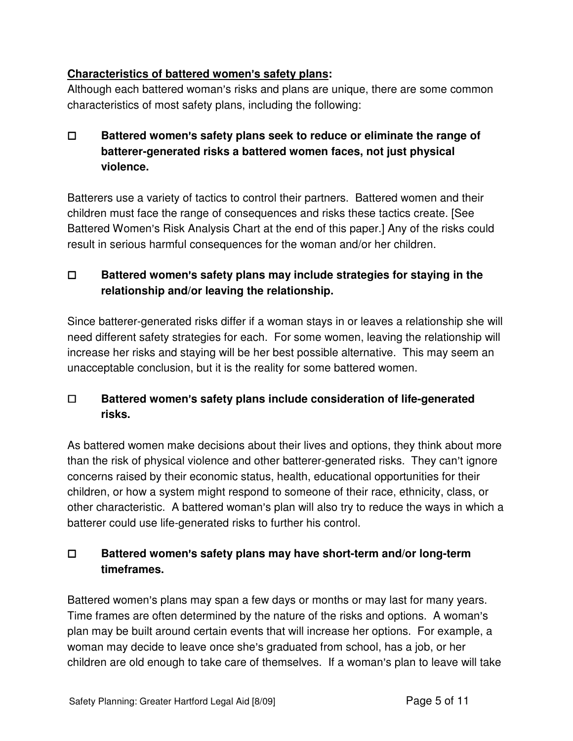### **Characteristics of battered women's safety plans:**

Although each battered woman's risks and plans are unique, there are some common characteristics of most safety plans, including the following:

## **E** Battered women's safety plans seek to reduce or eliminate the range of **batterer-generated risks a battered women faces, not just physical violence.**

Batterers use a variety of tactics to control their partners. Battered women and their children must face the range of consequences and risks these tactics create. [See Battered Women's Risk Analysis Chart at the end of this paper.] Any of the risks could result in serious harmful consequences for the woman and/or her children.

### □ Battered women's safety plans may include strategies for staying in the **relationship and/or leaving the relationship.**

Since batterer-generated risks differ if a woman stays in or leaves a relationship she will need different safety strategies for each. For some women, leaving the relationship will increase her risks and staying will be her best possible alternative. This may seem an unacceptable conclusion, but it is the reality for some battered women.

## □ Battered women's safety plans include consideration of life-generated **risks.**

As battered women make decisions about their lives and options, they think about more than the risk of physical violence and other batterer-generated risks. They can't ignore concerns raised by their economic status, health, educational opportunities for their children, or how a system might respond to someone of their race, ethnicity, class, or other characteristic. A battered woman's plan will also try to reduce the ways in which a batterer could use life-generated risks to further his control.

## □ Battered women's safety plans may have short-term and/or long-term **timeframes.**

Battered women's plans may span a few days or months or may last for many years. Time frames are often determined by the nature of the risks and options. A woman's plan may be built around certain events that will increase her options. For example, a woman may decide to leave once she's graduated from school, has a job, or her children are old enough to take care of themselves. If a woman's plan to leave will take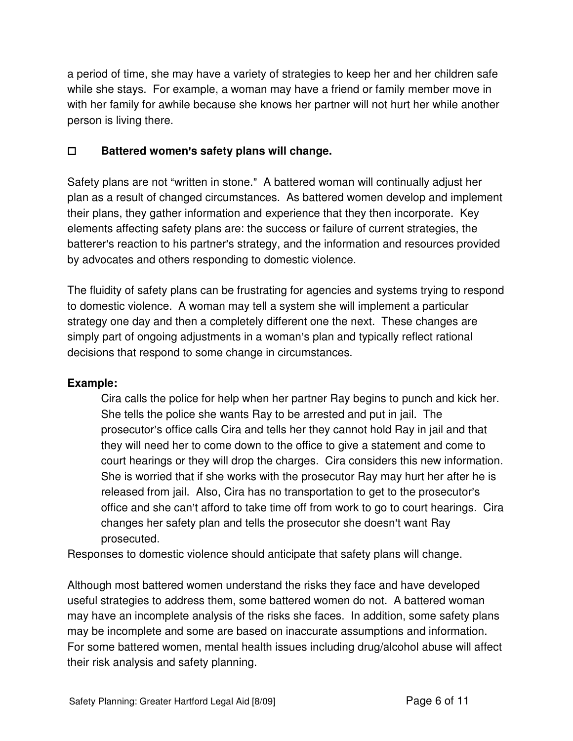a period of time, she may have a variety of strategies to keep her and her children safe while she stays. For example, a woman may have a friend or family member move in with her family for awhile because she knows her partner will not hurt her while another person is living there.

### G **Battered women**=**s safety plans will change.**

Safety plans are not "written in stone." A battered woman will continually adjust her plan as a result of changed circumstances. As battered women develop and implement their plans, they gather information and experience that they then incorporate. Key elements affecting safety plans are: the success or failure of current strategies, the batterer's reaction to his partner's strategy, and the information and resources provided by advocates and others responding to domestic violence.

The fluidity of safety plans can be frustrating for agencies and systems trying to respond to domestic violence. A woman may tell a system she will implement a particular strategy one day and then a completely different one the next. These changes are simply part of ongoing adjustments in a woman's plan and typically reflect rational decisions that respond to some change in circumstances.

#### **Example:**

Cira calls the police for help when her partner Ray begins to punch and kick her. She tells the police she wants Ray to be arrested and put in jail. The prosecutor's office calls Cira and tells her they cannot hold Ray in jail and that they will need her to come down to the office to give a statement and come to court hearings or they will drop the charges. Cira considers this new information. She is worried that if she works with the prosecutor Ray may hurt her after he is released from jail. Also, Cira has no transportation to get to the prosecutor's office and she can't afford to take time off from work to go to court hearings. Cira changes her safety plan and tells the prosecutor she doesn't want Ray prosecuted.

Responses to domestic violence should anticipate that safety plans will change.

Although most battered women understand the risks they face and have developed useful strategies to address them, some battered women do not. A battered woman may have an incomplete analysis of the risks she faces. In addition, some safety plans may be incomplete and some are based on inaccurate assumptions and information. For some battered women, mental health issues including drug/alcohol abuse will affect their risk analysis and safety planning.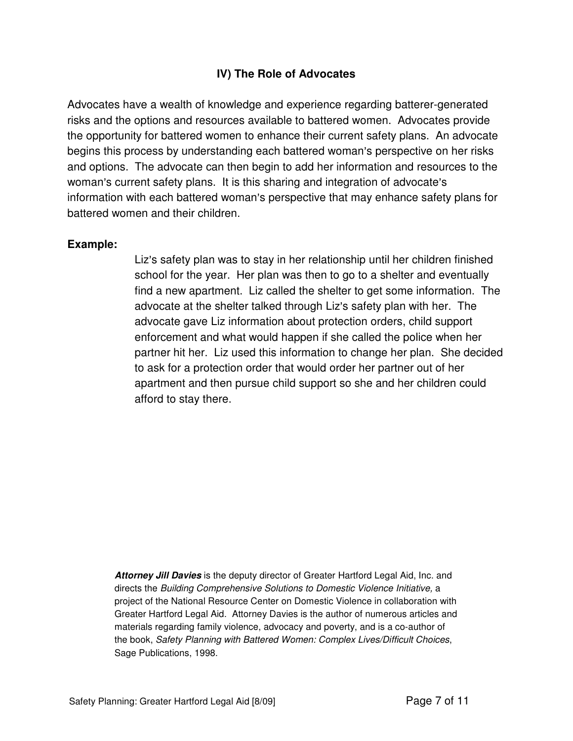#### **IV) The Role of Advocates**

Advocates have a wealth of knowledge and experience regarding batterer-generated risks and the options and resources available to battered women. Advocates provide the opportunity for battered women to enhance their current safety plans. An advocate begins this process by understanding each battered woman's perspective on her risks and options. The advocate can then begin to add her information and resources to the woman's current safety plans. It is this sharing and integration of advocate's information with each battered woman's perspective that may enhance safety plans for battered women and their children.

#### **Example:**

Liz's safety plan was to stay in her relationship until her children finished school for the year. Her plan was then to go to a shelter and eventually find a new apartment. Liz called the shelter to get some information. The advocate at the shelter talked through Liz's safety plan with her. The advocate gave Liz information about protection orders, child support enforcement and what would happen if she called the police when her partner hit her. Liz used this information to change her plan. She decided to ask for a protection order that would order her partner out of her apartment and then pursue child support so she and her children could afford to stay there.

**Attorney Jill Davies** is the deputy director of Greater Hartford Legal Aid, Inc. and directs the Building Comprehensive Solutions to Domestic Violence Initiative, a project of the National Resource Center on Domestic Violence in collaboration with Greater Hartford Legal Aid. Attorney Davies is the author of numerous articles and materials regarding family violence, advocacy and poverty, and is a co-author of the book, Safety Planning with Battered Women: Complex Lives/Difficult Choices, Sage Publications, 1998.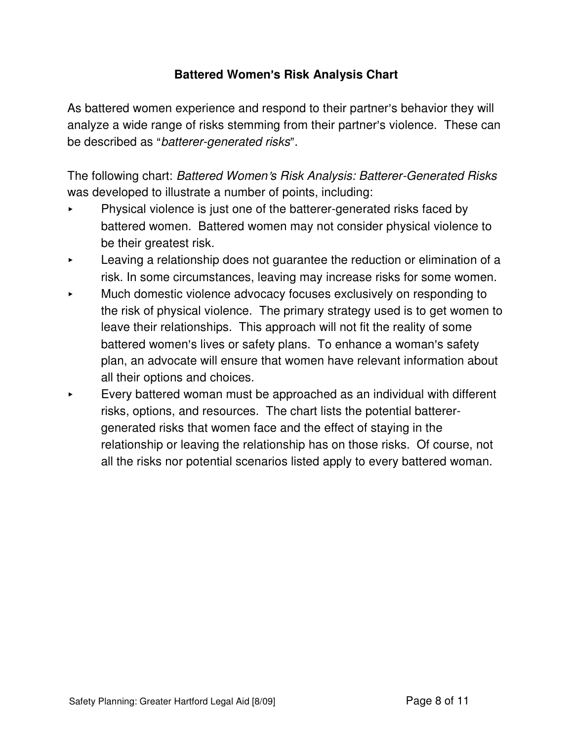# **Battered Women's Risk Analysis Chart**

As battered women experience and respond to their partner's behavior they will analyze a wide range of risks stemming from their partner's violence. These can be described as "batterer-generated risks".

The following chart: Battered Women's Risk Analysis: Batterer-Generated Risks was developed to illustrate a number of points, including:

- < Physical violence is just one of the batterer-generated risks faced by battered women. Battered women may not consider physical violence to be their greatest risk.
- Leaving a relationship does not guarantee the reduction or elimination of a risk. In some circumstances, leaving may increase risks for some women.
- Much domestic violence advocacy focuses exclusively on responding to the risk of physical violence. The primary strategy used is to get women to leave their relationships. This approach will not fit the reality of some battered women's lives or safety plans. To enhance a woman's safety plan, an advocate will ensure that women have relevant information about all their options and choices.
- $\blacktriangleright$  Every battered woman must be approached as an individual with different risks, options, and resources. The chart lists the potential batterergenerated risks that women face and the effect of staying in the relationship or leaving the relationship has on those risks. Of course, not all the risks nor potential scenarios listed apply to every battered woman.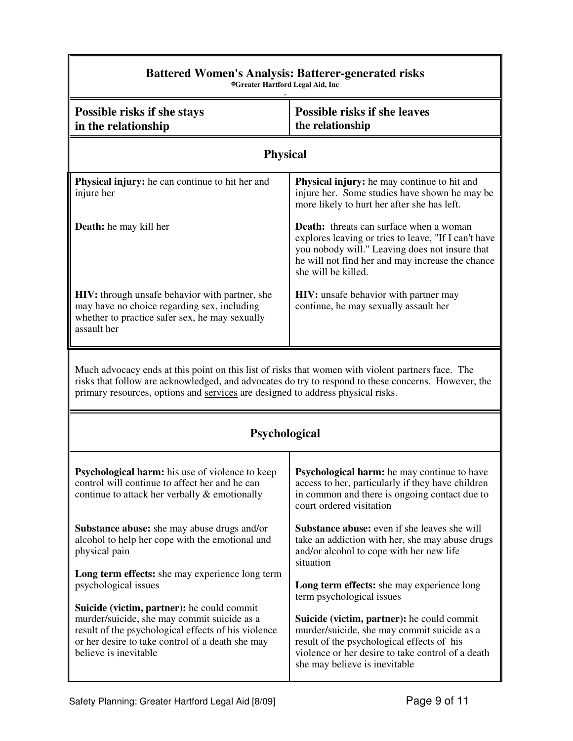| <b>Battered Women's Analysis: Batterer-generated risks</b><br><b>©Greater Hartford Legal Aid, Inc</b>                                                                                                                                                                                       |                                                                                                                                                                                                                                     |  |
|---------------------------------------------------------------------------------------------------------------------------------------------------------------------------------------------------------------------------------------------------------------------------------------------|-------------------------------------------------------------------------------------------------------------------------------------------------------------------------------------------------------------------------------------|--|
| Possible risks if she stays<br>in the relationship                                                                                                                                                                                                                                          | <b>Possible risks if she leaves</b><br>the relationship                                                                                                                                                                             |  |
| <b>Physical</b>                                                                                                                                                                                                                                                                             |                                                                                                                                                                                                                                     |  |
| Physical injury: he can continue to hit her and<br>injure her                                                                                                                                                                                                                               | <b>Physical injury:</b> he may continue to hit and<br>injure her. Some studies have shown he may be<br>more likely to hurt her after she has left.                                                                                  |  |
| Death: he may kill her                                                                                                                                                                                                                                                                      | <b>Death:</b> threats can surface when a woman<br>explores leaving or tries to leave, "If I can't have<br>you nobody will." Leaving does not insure that<br>he will not find her and may increase the chance<br>she will be killed. |  |
| HIV: through unsafe behavior with partner, she<br>may have no choice regarding sex, including<br>whether to practice safer sex, he may sexually<br>assault her                                                                                                                              | <b>HIV:</b> unsafe behavior with partner may<br>continue, he may sexually assault her                                                                                                                                               |  |
| Much advocacy ends at this point on this list of risks that women with violent partners face. The<br>risks that follow are acknowledged, and advocates do try to respond to these concerns. However, the<br>primary resources, options and services are designed to address physical risks. |                                                                                                                                                                                                                                     |  |
| <b>Psychological</b>                                                                                                                                                                                                                                                                        |                                                                                                                                                                                                                                     |  |
| Psychological harm: his use of violence to keep<br>control will continue to affect her and he can<br>continue to attack her verbally & emotionally                                                                                                                                          | Psychological harm: he may continue to have<br>access to her, particularly if they have children<br>in common and there is ongoing contact due to<br>court ordered visitation                                                       |  |
| <b>Substance abuse:</b> she may abuse drugs and/or<br>alcohol to help her cope with the emotional and<br>physical pain                                                                                                                                                                      | <b>Substance abuse:</b> even if she leaves she will<br>take an addiction with her, she may abuse drugs<br>and/or alcohol to cope with her new life<br>situation                                                                     |  |
| Long term effects: she may experience long term<br>psychological issues                                                                                                                                                                                                                     | Long term effects: she may experience long<br>term psychological issues                                                                                                                                                             |  |
| Suicide (victim, partner): he could commit<br>murder/suicide, she may commit suicide as a<br>result of the psychological effects of his violence<br>or her desire to take control of a death she may<br>believe is inevitable                                                               | Suicide (victim, partner): he could commit<br>murder/suicide, she may commit suicide as a<br>result of the psychological effects of his<br>violence or her desire to take control of a death<br>she may believe is inevitable       |  |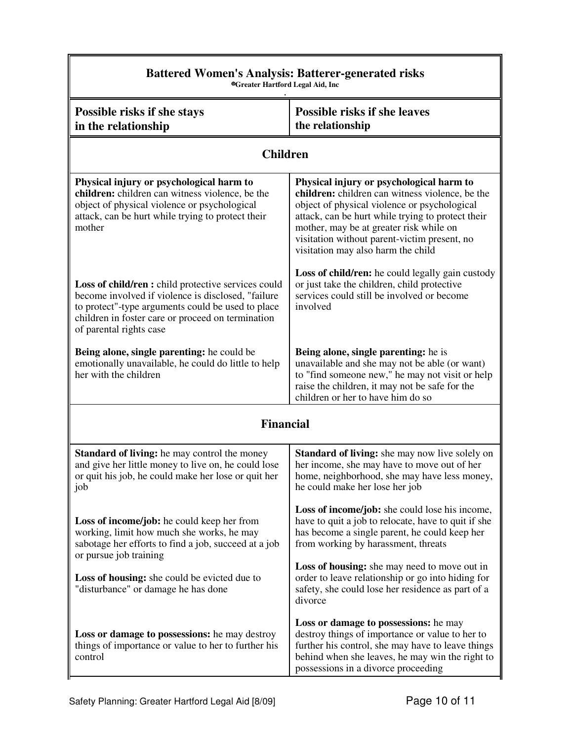| <b>Battered Women's Analysis: Batterer-generated risks</b><br><b>@Greater Hartford Legal Aid, Inc</b>                                                                                                                                                 |                                                                                                                                                                                                                                                                                                                                   |  |
|-------------------------------------------------------------------------------------------------------------------------------------------------------------------------------------------------------------------------------------------------------|-----------------------------------------------------------------------------------------------------------------------------------------------------------------------------------------------------------------------------------------------------------------------------------------------------------------------------------|--|
| Possible risks if she stays<br>in the relationship                                                                                                                                                                                                    | <b>Possible risks if she leaves</b><br>the relationship                                                                                                                                                                                                                                                                           |  |
| <b>Children</b>                                                                                                                                                                                                                                       |                                                                                                                                                                                                                                                                                                                                   |  |
| Physical injury or psychological harm to<br>children: children can witness violence, be the<br>object of physical violence or psychological<br>attack, can be hurt while trying to protect their<br>mother                                            | Physical injury or psychological harm to<br>children: children can witness violence, be the<br>object of physical violence or psychological<br>attack, can be hurt while trying to protect their<br>mother, may be at greater risk while on<br>visitation without parent-victim present, no<br>visitation may also harm the child |  |
| <b>Loss of child/ren :</b> child protective services could<br>become involved if violence is disclosed, "failure<br>to protect"-type arguments could be used to place<br>children in foster care or proceed on termination<br>of parental rights case | Loss of child/ren: he could legally gain custody<br>or just take the children, child protective<br>services could still be involved or become<br>involved                                                                                                                                                                         |  |
| Being alone, single parenting: he could be<br>emotionally unavailable, he could do little to help<br>her with the children                                                                                                                            | Being alone, single parenting: he is<br>unavailable and she may not be able (or want)<br>to "find someone new," he may not visit or help<br>raise the children, it may not be safe for the<br>children or her to have him do so                                                                                                   |  |
| <b>Financial</b>                                                                                                                                                                                                                                      |                                                                                                                                                                                                                                                                                                                                   |  |
| <b>Standard of living:</b> he may control the money<br>and give her little money to live on, he could lose<br>or quit his job, he could make her lose or quit her<br>job                                                                              | <b>Standard of living:</b> she may now live solely on<br>her income, she may have to move out of her<br>home, neighborhood, she may have less money,<br>he could make her lose her job                                                                                                                                            |  |
| <b>Loss of income/job:</b> he could keep her from<br>working, limit how much she works, he may<br>sabotage her efforts to find a job, succeed at a job<br>or pursue job training                                                                      | Loss of income/job: she could lose his income,<br>have to quit a job to relocate, have to quit if she<br>has become a single parent, he could keep her<br>from working by harassment, threats                                                                                                                                     |  |
| Loss of housing: she could be evicted due to<br>"disturbance" or damage he has done                                                                                                                                                                   | Loss of housing: she may need to move out in<br>order to leave relationship or go into hiding for<br>safety, she could lose her residence as part of a<br>divorce                                                                                                                                                                 |  |
| Loss or damage to possessions: he may destroy<br>things of importance or value to her to further his<br>control                                                                                                                                       | Loss or damage to possessions: he may<br>destroy things of importance or value to her to<br>further his control, she may have to leave things<br>behind when she leaves, he may win the right to<br>possessions in a divorce proceeding                                                                                           |  |